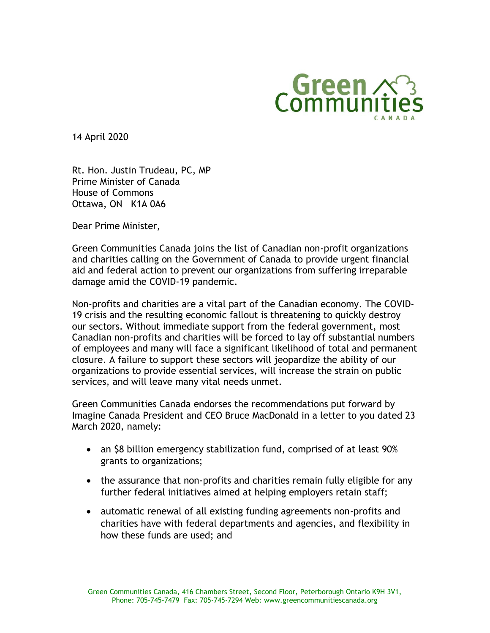

14 April 2020

Rt. Hon. Justin Trudeau, PC, MP Prime Minister of Canada House of Commons Ottawa, ON K1A 0A6

Dear Prime Minister,

Green Communities Canada joins the list of Canadian non-profit organizations and charities calling on the Government of Canada to provide urgent financial aid and federal action to prevent our organizations from suffering irreparable damage amid the COVID-19 pandemic.

Non-profits and charities are a vital part of the Canadian economy. The COVID-19 crisis and the resulting economic fallout is threatening to quickly destroy our sectors. Without immediate support from the federal government, most Canadian non-profits and charities will be forced to lay off substantial numbers of employees and many will face a significant likelihood of total and permanent closure. A failure to support these sectors will jeopardize the ability of our organizations to provide essential services, will increase the strain on public services, and will leave many vital needs unmet.

Green Communities Canada endorses the recommendations put forward by Imagine Canada President and CEO Bruce MacDonald in a letter to you dated 23 March 2020, namely:

- an \$8 billion emergency stabilization fund, comprised of at least 90% grants to organizations;
- the assurance that non-profits and charities remain fully eligible for any further federal initiatives aimed at helping employers retain staff;
- automatic renewal of all existing funding agreements non-profits and charities have with federal departments and agencies, and flexibility in how these funds are used; and